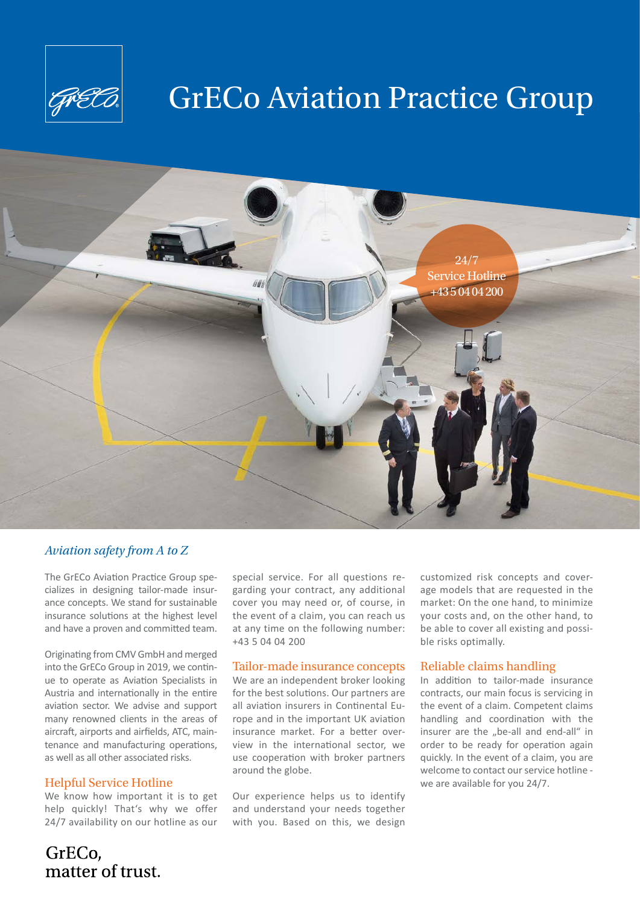

## GrECo Aviation Practice Group



## *Aviation safety from A to Z*

The GrECo Aviation Practice Group specializes in designing tailor-made insurance concepts. We stand for sustainable insurance solutions at the highest level and have a proven and committed team.

Originating from CMV GmbH and merged into the GrECo Group in 2019, we continue to operate as Aviation Specialists in Austria and internationally in the entire aviation sector. We advise and support many renowned clients in the areas of aircraft, airports and airfields, ATC, maintenance and manufacturing operations, as well as all other associated risks.

#### Helpful Service Hotline

We know how important it is to get help quickly! That's why we offer 24/7 availability on our hotline as our

special service. For all questions regarding your contract, any additional cover you may need or, of course, in the event of a claim, you can reach us at any time on the following number: +43 5 04 04 200

#### Tailor-made insurance concepts

We are an independent broker looking for the best solutions. Our partners are all aviation insurers in Continental Europe and in the important UK aviation insurance market. For a better overview in the international sector, we use cooperation with broker partners around the globe.

Our experience helps us to identify and understand your needs together with you. Based on this, we design

customized risk concepts and coverage models that are requested in the market: On the one hand, to minimize your costs and, on the other hand, to be able to cover all existing and possible risks optimally.

#### Reliable claims handling

In addition to tailor-made insurance contracts, our main focus is servicing in the event of a claim. Competent claims handling and coordination with the insurer are the "be-all and end-all" in order to be ready for operation again quickly. In the event of a claim, you are welcome to contact our service hotline we are available for you 24/7.

GrECo, matter of trust.